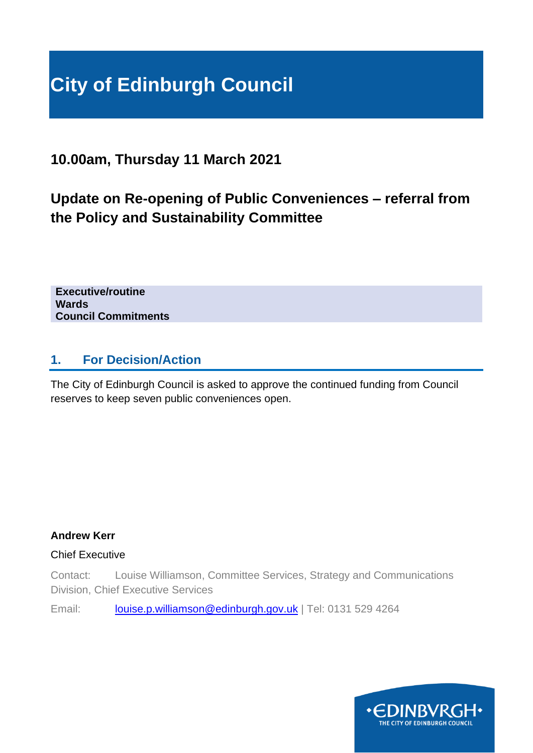# **City of Edinburgh Council**

**10.00am, Thursday 11 March 2021**

# **Update on Re-opening of Public Conveniences – referral from the Policy and Sustainability Committee**

**Executive/routine Wards Council Commitments**

## **1. For Decision/Action**

The City of Edinburgh Council is asked to approve the continued funding from Council reserves to keep seven public conveniences open.

### **Andrew Kerr**

### Chief Executive

Contact: Louise Williamson, Committee Services, Strategy and Communications Division, Chief Executive Services

Email: [louise.p.williamson@edinburgh.gov.uk](mailto:louise.p.williamson@edinburgh.gov.uk) | Tel: 0131 529 4264

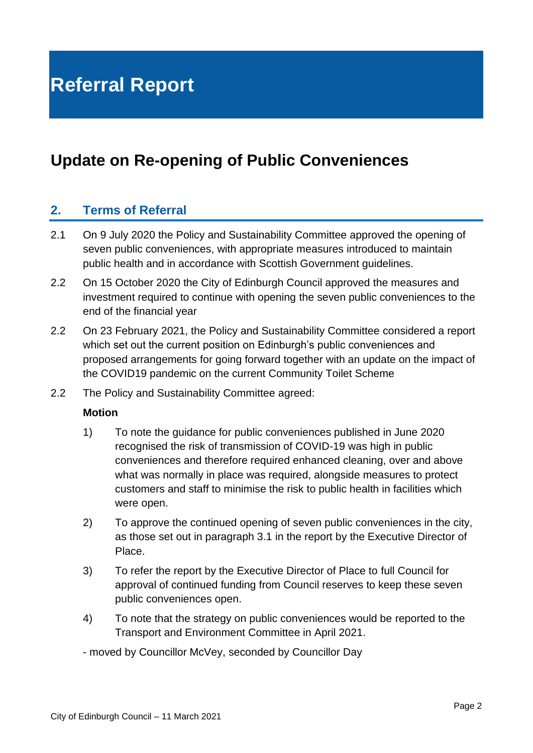# **Update on Re-opening of Public Conveniences**

# **2. Terms of Referral**

- 2.1 On 9 July 2020 the Policy and Sustainability Committee approved the opening of seven public conveniences, with appropriate measures introduced to maintain public health and in accordance with Scottish Government guidelines.
- 2.2 On 15 October 2020 the City of Edinburgh Council approved the measures and investment required to continue with opening the seven public conveniences to the end of the financial year
- 2.2 On 23 February 2021, the Policy and Sustainability Committee considered a report which set out the current position on Edinburgh's public conveniences and proposed arrangements for going forward together with an update on the impact of the COVID19 pandemic on the current Community Toilet Scheme
- 2.2 The Policy and Sustainability Committee agreed:

#### **Motion**

- 1) To note the guidance for public conveniences published in June 2020 recognised the risk of transmission of COVID-19 was high in public conveniences and therefore required enhanced cleaning, over and above what was normally in place was required, alongside measures to protect customers and staff to minimise the risk to public health in facilities which were open.
- 2) To approve the continued opening of seven public conveniences in the city, as those set out in paragraph 3.1 in the report by the Executive Director of Place.
- 3) To refer the report by the Executive Director of Place to full Council for approval of continued funding from Council reserves to keep these seven public conveniences open.
- 4) To note that the strategy on public conveniences would be reported to the Transport and Environment Committee in April 2021.
- moved by Councillor McVey, seconded by Councillor Day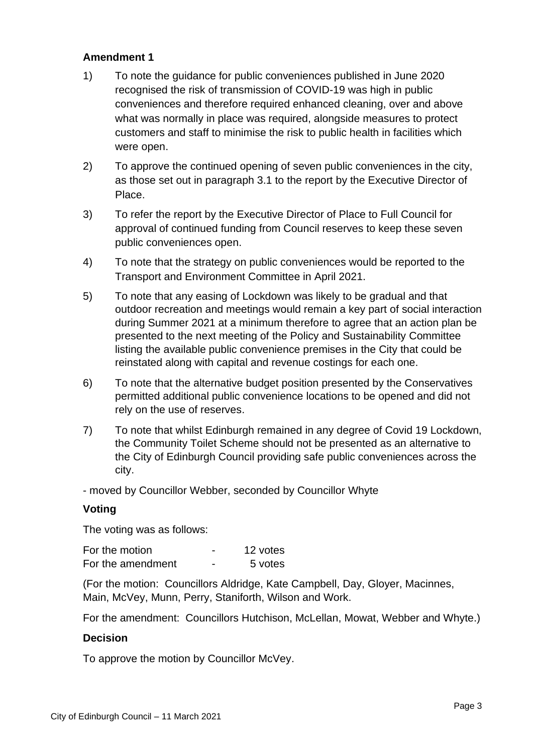### **Amendment 1**

- 1) To note the guidance for public conveniences published in June 2020 recognised the risk of transmission of COVID-19 was high in public conveniences and therefore required enhanced cleaning, over and above what was normally in place was required, alongside measures to protect customers and staff to minimise the risk to public health in facilities which were open.
- 2) To approve the continued opening of seven public conveniences in the city, as those set out in paragraph 3.1 to the report by the Executive Director of Place.
- 3) To refer the report by the Executive Director of Place to Full Council for approval of continued funding from Council reserves to keep these seven public conveniences open.
- 4) To note that the strategy on public conveniences would be reported to the Transport and Environment Committee in April 2021.
- 5) To note that any easing of Lockdown was likely to be gradual and that outdoor recreation and meetings would remain a key part of social interaction during Summer 2021 at a minimum therefore to agree that an action plan be presented to the next meeting of the Policy and Sustainability Committee listing the available public convenience premises in the City that could be reinstated along with capital and revenue costings for each one.
- 6) To note that the alternative budget position presented by the Conservatives permitted additional public convenience locations to be opened and did not rely on the use of reserves.
- 7) To note that whilst Edinburgh remained in any degree of Covid 19 Lockdown, the Community Toilet Scheme should not be presented as an alternative to the City of Edinburgh Council providing safe public conveniences across the city.

- moved by Councillor Webber, seconded by Councillor Whyte

#### **Voting**

The voting was as follows:

| For the motion    |   | 12 votes |
|-------------------|---|----------|
| For the amendment | - | 5 votes  |

(For the motion: Councillors Aldridge, Kate Campbell, Day, Gloyer, Macinnes, Main, McVey, Munn, Perry, Staniforth, Wilson and Work.

For the amendment: Councillors Hutchison, McLellan, Mowat, Webber and Whyte.)

#### **Decision**

To approve the motion by Councillor McVey.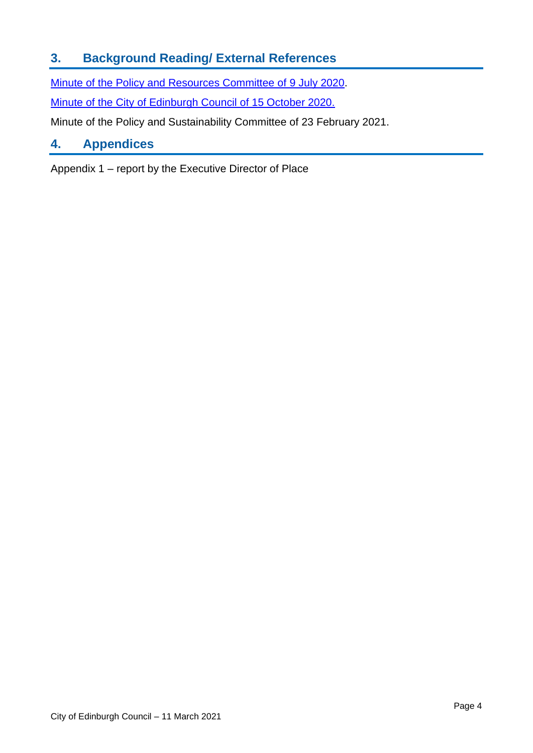# **3. Background Reading/ External References**

[Minute of the Policy and Resources Committee of 9](Minute%20of%209%20July%202020) July 2020.

[Minute of the City of Edinburgh Council of 15 October 2020.](Agenda%20reports%20pack)

Minute of the Policy and Sustainability Committee of 23 February 2021.

# **4. Appendices**

Appendix 1 – report by the Executive Director of Place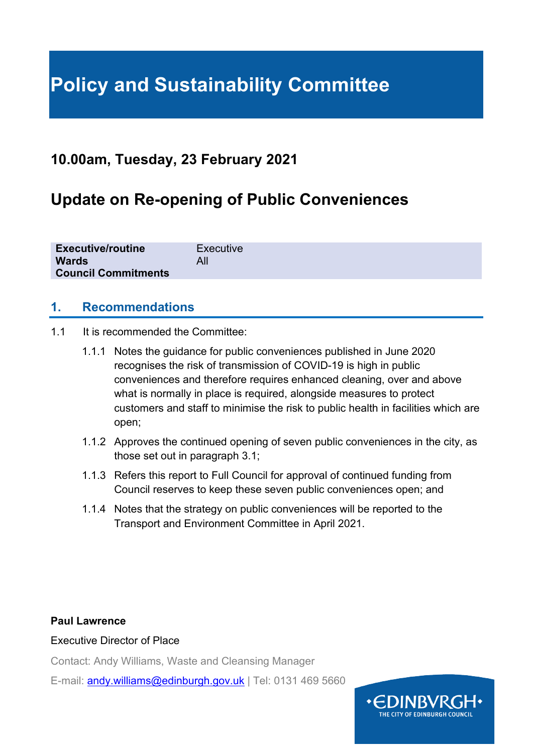# **Policy and Sustainability Committee**

# **10.00am, Tuesday, 23 February 2021**

# **Update on Re-opening of Public Conveniences**

| <b>Executive/routine</b>   | Executive |
|----------------------------|-----------|
| <b>Wards</b>               |           |
| <b>Council Commitments</b> |           |

### **1. Recommendations**

- 1.1 It is recommended the Committee:
	- 1.1.1 Notes the guidance for public conveniences published in June 2020 recognises the risk of transmission of COVID-19 is high in public conveniences and therefore requires enhanced cleaning, over and above what is normally in place is required, alongside measures to protect customers and staff to minimise the risk to public health in facilities which are open;
	- 1.1.2 Approves the continued opening of seven public conveniences in the city, as those set out in paragraph 3.1;
	- 1.1.3 Refers this report to Full Council for approval of continued funding from Council reserves to keep these seven public conveniences open; and
	- 1.1.4 Notes that the strategy on public conveniences will be reported to the Transport and Environment Committee in April 2021.

### **Paul Lawrence**

#### Executive Director of Place

Contact: Andy Williams, Waste and Cleansing Manager

E-mail: [andy.williams@edinburgh.gov.uk](mailto:andy.williams@edinburgh.gov.uk) | Tel: 0131 469 5660

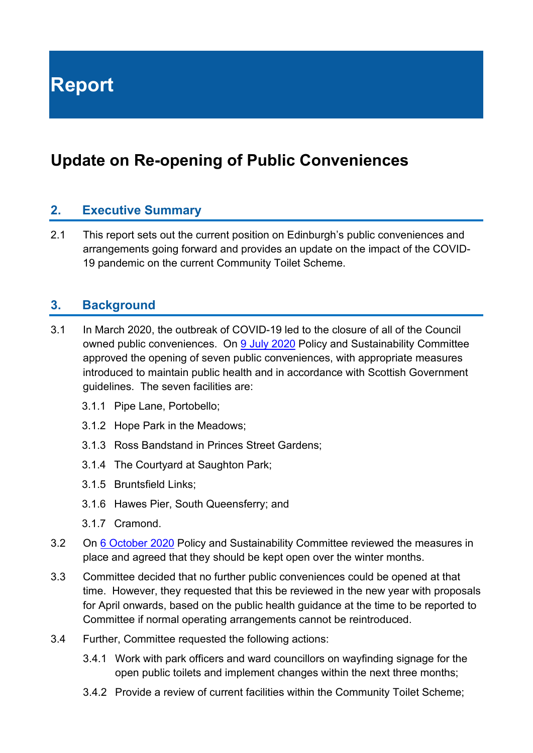**Report**

# **Update on Re-opening of Public Conveniences**

### **2. Executive Summary**

2.1 This report sets out the current position on Edinburgh's public conveniences and arrangements going forward and provides an update on the impact of the COVID-19 pandemic on the current Community Toilet Scheme.

### **3. Background**

- 3.1 In March 2020, the outbreak of COVID-19 led to the closure of all of the Council owned public conveniences. On [9 July 2020](https://democracy.edinburgh.gov.uk/documents/s24846/4.1%20-%20Minute%20of%209%20July%202020.pdf) Policy and Sustainability Committee approved the opening of seven public conveniences, with appropriate measures introduced to maintain public health and in accordance with Scottish Government guidelines. The seven facilities are:
	- 3.1.1 Pipe Lane, Portobello;
	- 3.1.2 Hope Park in the Meadows;
	- 3.1.3 Ross Bandstand in Princes Street Gardens;
	- 3.1.4 The Courtyard at Saughton Park;
	- 3.1.5 Bruntsfield Links;
	- 3.1.6 Hawes Pier, South Queensferry; and
	- 3.1.7 Cramond.
- 3.2 On [6 October 2020](https://democracy.edinburgh.gov.uk/ieListDocuments.aspx?CId=135&MId=5671&Ver=4) Policy and Sustainability Committee reviewed the measures in place and agreed that they should be kept open over the winter months.
- 3.3 Committee decided that no further public conveniences could be opened at that time. However, they requested that this be reviewed in the new year with proposals for April onwards, based on the public health guidance at the time to be reported to Committee if normal operating arrangements cannot be reintroduced.
- 3.4 Further, Committee requested the following actions:
	- 3.4.1 Work with park officers and ward councillors on wayfinding signage for the open public toilets and implement changes within the next three months;
	- 3.4.2 Provide a review of current facilities within the Community Toilet Scheme;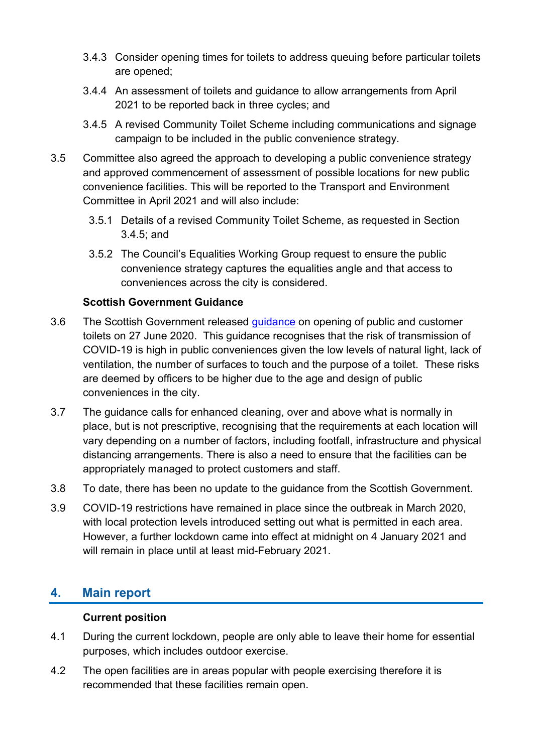- 3.4.3 Consider opening times for toilets to address queuing before particular toilets are opened;
- 3.4.4 An assessment of toilets and guidance to allow arrangements from April 2021 to be reported back in three cycles; and
- 3.4.5 A revised Community Toilet Scheme including communications and signage campaign to be included in the public convenience strategy.
- 3.5 Committee also agreed the approach to developing a public convenience strategy and approved commencement of assessment of possible locations for new public convenience facilities. This will be reported to the Transport and Environment Committee in April 2021 and will also include:
	- 3.5.1 Details of a revised Community Toilet Scheme, as requested in Section 3.4.5; and
	- 3.5.2 The Council's Equalities Working Group request to ensure the public convenience strategy captures the equalities angle and that access to conveniences across the city is considered.

### **Scottish Government Guidance**

- 3.6 The Scottish Government released quidance on opening of public and customer toilets on 27 June 2020. This guidance recognises that the risk of transmission of COVID-19 is high in public conveniences given the low levels of natural light, lack of ventilation, the number of surfaces to touch and the purpose of a toilet. These risks are deemed by officers to be higher due to the age and design of public conveniences in the city.
- 3.7 The guidance calls for enhanced cleaning, over and above what is normally in place, but is not prescriptive, recognising that the requirements at each location will vary depending on a number of factors, including footfall, infrastructure and physical distancing arrangements. There is also a need to ensure that the facilities can be appropriately managed to protect customers and staff.
- 3.8 To date, there has been no update to the guidance from the Scottish Government.
- 3.9 COVID-19 restrictions have remained in place since the outbreak in March 2020, with local protection levels introduced setting out what is permitted in each area. However, a further lockdown came into effect at midnight on 4 January 2021 and will remain in place until at least mid-February 2021.

# **4. Main report**

### **Current position**

- 4.1 During the current lockdown, people are only able to leave their home for essential purposes, which includes outdoor exercise.
- 4.2 The open facilities are in areas popular with people exercising therefore it is recommended that these facilities remain open.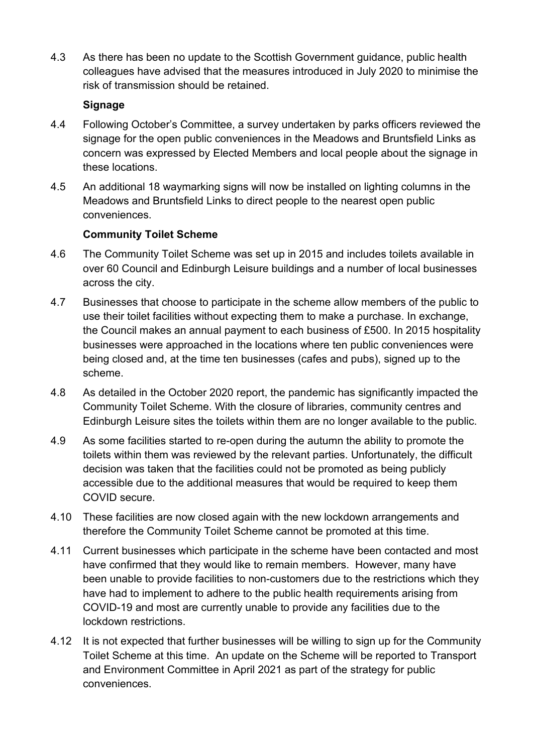4.3 As there has been no update to the Scottish Government guidance, public health colleagues have advised that the measures introduced in July 2020 to minimise the risk of transmission should be retained.

### **Signage**

- 4.4 Following October's Committee, a survey undertaken by parks officers reviewed the signage for the open public conveniences in the Meadows and Bruntsfield Links as concern was expressed by Elected Members and local people about the signage in these locations.
- 4.5 An additional 18 waymarking signs will now be installed on lighting columns in the Meadows and Bruntsfield Links to direct people to the nearest open public conveniences.

### **Community Toilet Scheme**

- 4.6 The Community Toilet Scheme was set up in 2015 and includes toilets available in over 60 Council and Edinburgh Leisure buildings and a number of local businesses across the city.
- 4.7 Businesses that choose to participate in the scheme allow members of the public to use their toilet facilities without expecting them to make a purchase. In exchange, the Council makes an annual payment to each business of £500. In 2015 hospitality businesses were approached in the locations where ten public conveniences were being closed and, at the time ten businesses (cafes and pubs), signed up to the scheme.
- 4.8 As detailed in the October 2020 report, the pandemic has significantly impacted the Community Toilet Scheme. With the closure of libraries, community centres and Edinburgh Leisure sites the toilets within them are no longer available to the public.
- 4.9 As some facilities started to re-open during the autumn the ability to promote the toilets within them was reviewed by the relevant parties. Unfortunately, the difficult decision was taken that the facilities could not be promoted as being publicly accessible due to the additional measures that would be required to keep them COVID secure.
- 4.10 These facilities are now closed again with the new lockdown arrangements and therefore the Community Toilet Scheme cannot be promoted at this time.
- 4.11 Current businesses which participate in the scheme have been contacted and most have confirmed that they would like to remain members. However, many have been unable to provide facilities to non-customers due to the restrictions which they have had to implement to adhere to the public health requirements arising from COVID-19 and most are currently unable to provide any facilities due to the lockdown restrictions.
- 4.12 It is not expected that further businesses will be willing to sign up for the Community Toilet Scheme at this time. An update on the Scheme will be reported to Transport and Environment Committee in April 2021 as part of the strategy for public conveniences.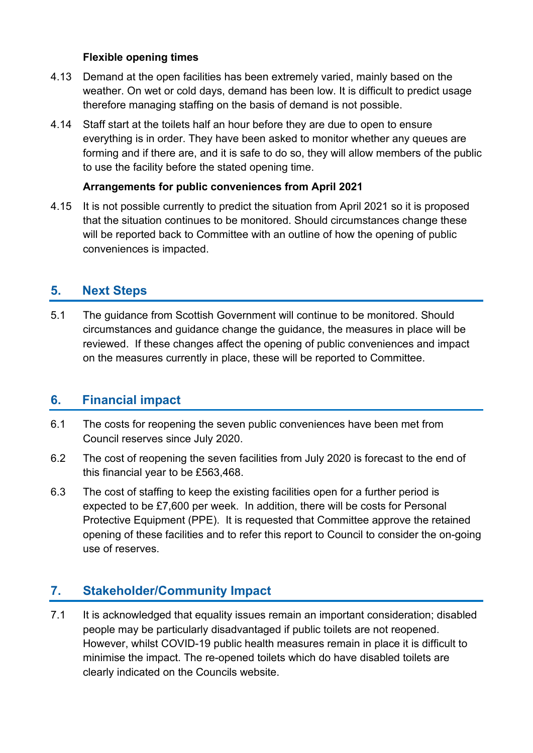### **Flexible opening times**

- 4.13 Demand at the open facilities has been extremely varied, mainly based on the weather. On wet or cold days, demand has been low. It is difficult to predict usage therefore managing staffing on the basis of demand is not possible.
- 4.14 Staff start at the toilets half an hour before they are due to open to ensure everything is in order. They have been asked to monitor whether any queues are forming and if there are, and it is safe to do so, they will allow members of the public to use the facility before the stated opening time.

### **Arrangements for public conveniences from April 2021**

4.15 It is not possible currently to predict the situation from April 2021 so it is proposed that the situation continues to be monitored. Should circumstances change these will be reported back to Committee with an outline of how the opening of public conveniences is impacted.

### **5. Next Steps**

5.1 The guidance from Scottish Government will continue to be monitored. Should circumstances and guidance change the guidance, the measures in place will be reviewed. If these changes affect the opening of public conveniences and impact on the measures currently in place, these will be reported to Committee.

### **6. Financial impact**

- 6.1 The costs for reopening the seven public conveniences have been met from Council reserves since July 2020.
- 6.2 The cost of reopening the seven facilities from July 2020 is forecast to the end of this financial year to be £563,468.
- 6.3 The cost of staffing to keep the existing facilities open for a further period is expected to be £7,600 per week. In addition, there will be costs for Personal Protective Equipment (PPE). It is requested that Committee approve the retained opening of these facilities and to refer this report to Council to consider the on-going use of reserves.

### **7. Stakeholder/Community Impact**

7.1 It is acknowledged that equality issues remain an important consideration; disabled people may be particularly disadvantaged if public toilets are not reopened. However, whilst COVID-19 public health measures remain in place it is difficult to minimise the impact. The re-opened toilets which do have disabled toilets are clearly indicated on the Councils website.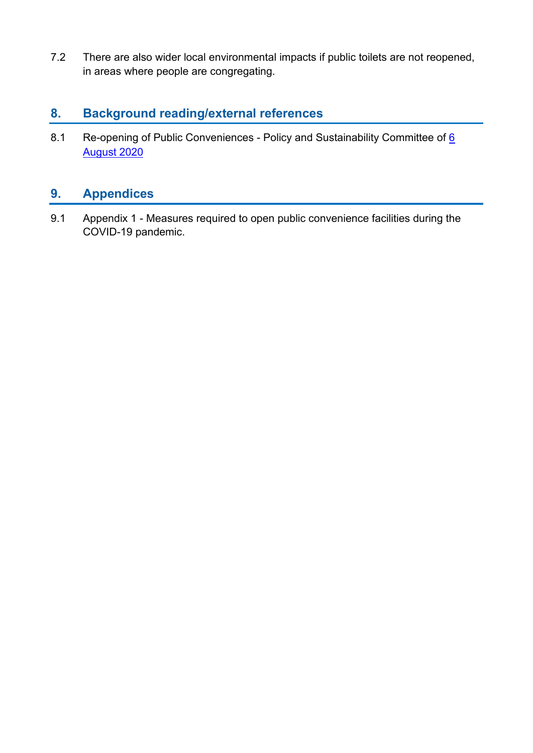7.2 There are also wider local environmental impacts if public toilets are not reopened, in areas where people are congregating.

# **8. Background reading/external references**

8.1 Re-opening of Public Conveniences - Policy and Sustainability Committee of 6 [August 2020](https://democracy.edinburgh.gov.uk/documents/s25006/Item%206.5%20-%20Re-opening%20of%20public%20conveniences.pdf)

# **9. Appendices**

9.1 Appendix 1 - Measures required to open public convenience facilities during the COVID-19 pandemic.